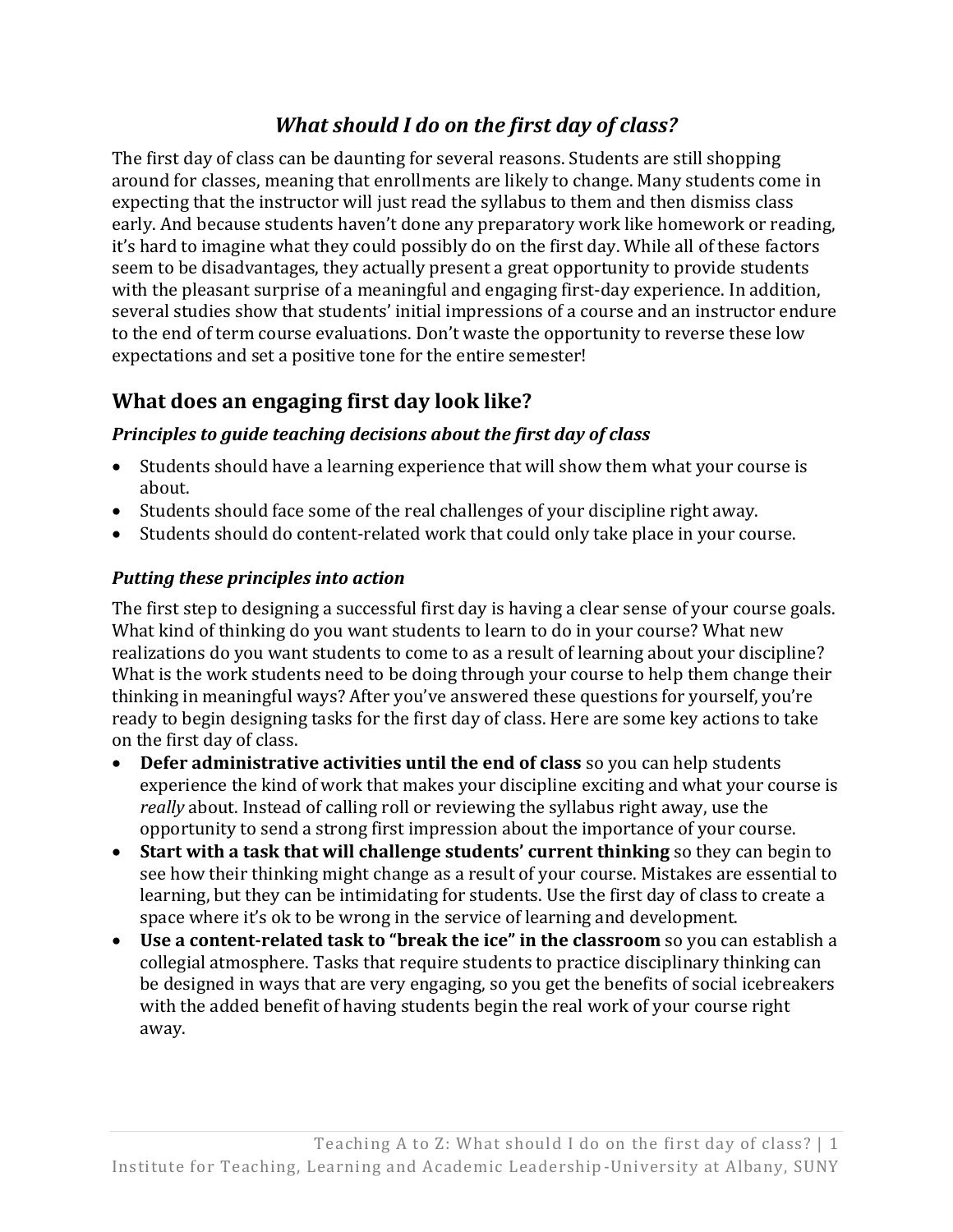# *[What should I do on the first day of class?](http://itlal.org/index.php?q=node/37)*

The first day of class can be daunting for several reasons. Students are still shopping around for classes, meaning that enrollments are likely to change. Many students come in expecting that the instructor will just read the syllabus to them and then dismiss class early. And because students haven't done any preparatory work like homework or reading, it's hard to imagine what they could possibly do on the first day. While all of these factors seem to be disadvantages, they actually present a great opportunity to provide students with the pleasant surprise of a meaningful and engaging first-day experience. In addition, several studies show that students' initial impressions of a course and an instructor endure to the end of term course evaluations. Don't waste the opportunity to reverse these low expectations and set a positive tone for the entire semester!

# **What does an engaging first day look like?**

### *Principles to guide teaching decisions about the first day of class*

- Students should have a learning experience that will show them what your course is about.
- Students should face some of the real challenges of your discipline right away.
- Students should do content-related work that could only take place in your course.

### *Putting these principles into action*

The first step to designing a successful first day is having a clear sense of your course goals. What kind of thinking do you want students to learn to do in your course? What new realizations do you want students to come to as a result of learning about your discipline? What is the work students need to be doing through your course to help them change their thinking in meaningful ways? After you've answered these questions for yourself, you're ready to begin designing tasks for the first day of class. Here are some key actions to take on the first day of class.

- **Defer administrative activities until the end of class** so you can help students experience the kind of work that makes your discipline exciting and what your course is *really* about. Instead of calling roll or reviewing the syllabus right away, use the opportunity to send a strong first impression about the importance of your course.
- **Start with a task that will challenge students' current thinking** so they can begin to see how their thinking might change as a result of your course. Mistakes are essential to learning, but they can be intimidating for students. Use the first day of class to create a space where it's ok to be wrong in the service of learning and development.
- **Use a content-related task to "break the ice" in the classroom** so you can establish a collegial atmosphere. Tasks that require students to practice disciplinary thinking can be designed in ways that are very engaging, so you get the benefits of social icebreakers with the added benefit of having students begin the real work of your course right away.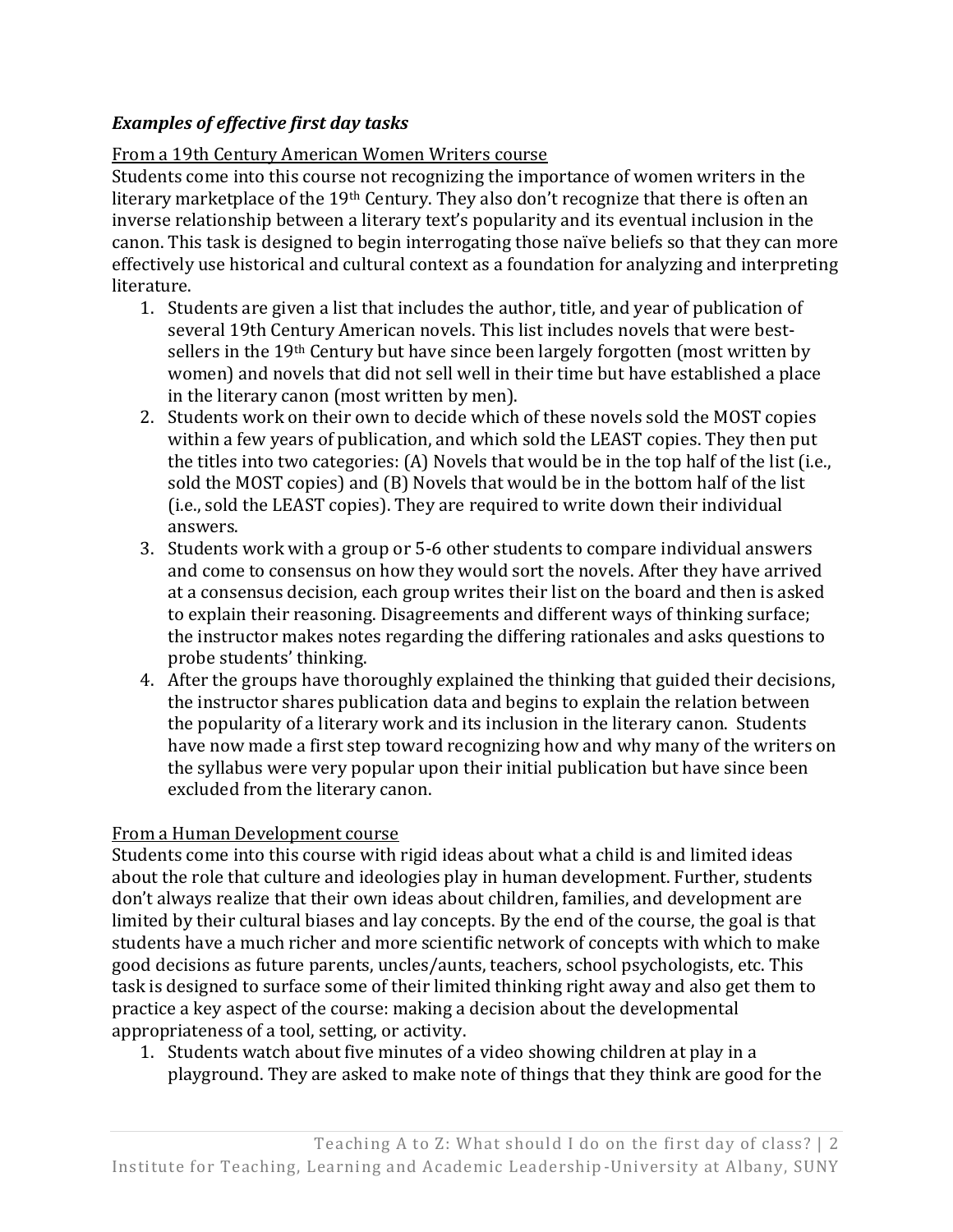#### *Examples of effective first day tasks*

#### From a 19th Century American Women Writers course

Students come into this course not recognizing the importance of women writers in the literary marketplace of the 19th Century. They also don't recognize that there is often an inverse relationship between a literary text's popularity and its eventual inclusion in the canon. This task is designed to begin interrogating those naïve beliefs so that they can more effectively use historical and cultural context as a foundation for analyzing and interpreting literature.

- 1. Students are given a list that includes the author, title, and year of publication of several 19th Century American novels. This list includes novels that were bestsellers in the 19<sup>th</sup> Century but have since been largely forgotten (most written by women) and novels that did not sell well in their time but have established a place in the literary canon (most written by men).
- 2. Students work on their own to decide which of these novels sold the MOST copies within a few years of publication, and which sold the LEAST copies. They then put the titles into two categories: (A) Novels that would be in the top half of the list (i.e., sold the MOST copies) and (B) Novels that would be in the bottom half of the list (i.e., sold the LEAST copies). They are required to write down their individual answers.
- 3. Students work with a group or 5-6 other students to compare individual answers and come to consensus on how they would sort the novels. After they have arrived at a consensus decision, each group writes their list on the board and then is asked to explain their reasoning. Disagreements and different ways of thinking surface; the instructor makes notes regarding the differing rationales and asks questions to probe students' thinking.
- 4. After the groups have thoroughly explained the thinking that guided their decisions, the instructor shares publication data and begins to explain the relation between the popularity of a literary work and its inclusion in the literary canon. Students have now made a first step toward recognizing how and why many of the writers on the syllabus were very popular upon their initial publication but have since been excluded from the literary canon.

#### From a Human Development course

Students come into this course with rigid ideas about what a child is and limited ideas about the role that culture and ideologies play in human development. Further, students don't always realize that their own ideas about children, families, and development are limited by their cultural biases and lay concepts. By the end of the course, the goal is that students have a much richer and more scientific network of concepts with which to make good decisions as future parents, uncles/aunts, teachers, school psychologists, etc. This task is designed to surface some of their limited thinking right away and also get them to practice a key aspect of the course: making a decision about the developmental appropriateness of a tool, setting, or activity.

1. Students watch about five minutes of a video showing children at play in a playground. They are asked to make note of things that they think are good for the